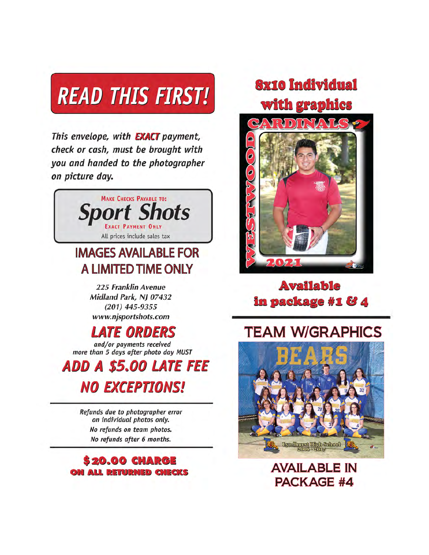# **READ THIS FIRST!**

This envelope, with **EXACT** payment, check or cash, must be brought with you and handed to the photographer on picture day.



### **IMAGES AVAILABLE FOR** A LIMITED TIME ONLY

225 Franklin Avenue Midland Park, NJ 07432  $(201)$  445-9355 www.njsportshots.com

## *ATE ORDERS*

and/or payments received more than 5 days after photo day MUST

**ADD A \$5.00 LATE FEE NO EXCEPTIONS!** 

> Refunds due to photographer error on individual photos only. No refunds on team photos. No refunds after 6 months.



## **Sx10 Individual** with graphics



#### **Available** in package #1 & 4

## **TEAM W/GRAPHICS**



**AVAILABLE IN PACKAGE #4**